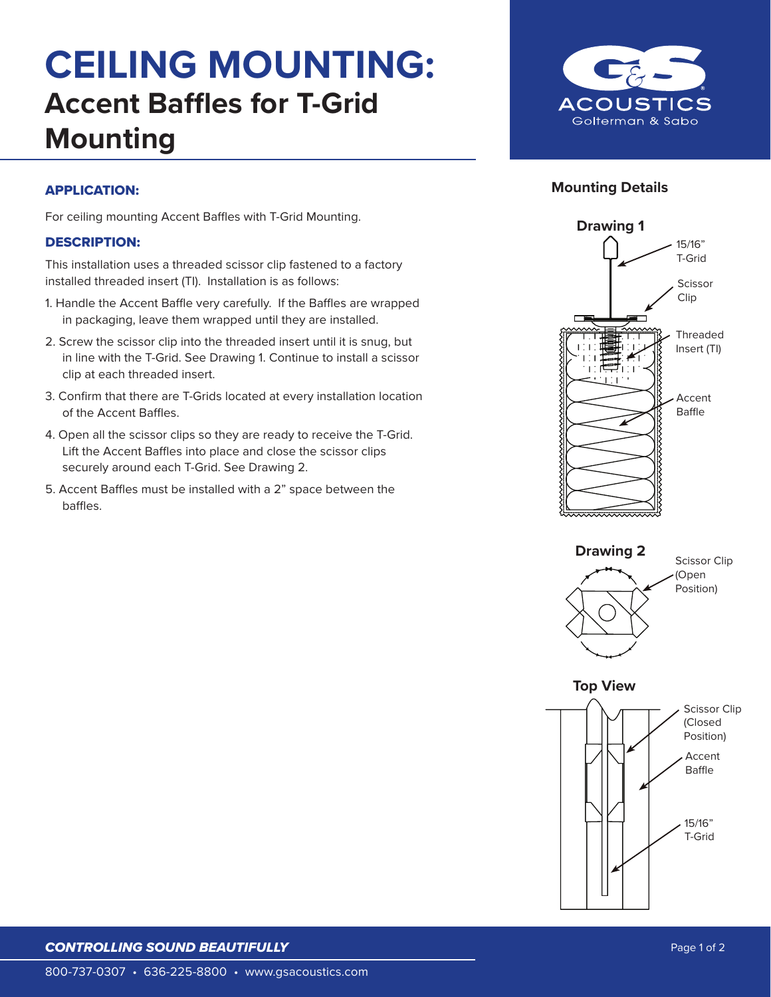# **CEILING MOUNTING: Accent Baffles for T-Grid Mounting**



### **Mounting Details**

#### APPLICATION:

For ceiling mounting Accent Baffles with T-Grid Mounting.

#### DESCRIPTION:

This installation uses a threaded scissor clip fastened to a factory installed threaded insert (TI). Installation is as follows:

- 1. Handle the Accent Baffle very carefully. If the Baffles are wrapped in packaging, leave them wrapped until they are installed.
- 2. Screw the scissor clip into the threaded insert until it is snug, but in line with the T-Grid. See Drawing 1. Continue to install a scissor clip at each threaded insert.
- 3. Confirm that there are T-Grids located at every installation location of the Accent Baffles.
- 4. Open all the scissor clips so they are ready to receive the T-Grid. Lift the Accent Baffles into place and close the scissor clips securely around each T-Grid. See Drawing 2.
- 5. Accent Baffles must be installed with a 2" space between the baffles.







#### *CONTROLLING SOUND BEAUTIFULLY*